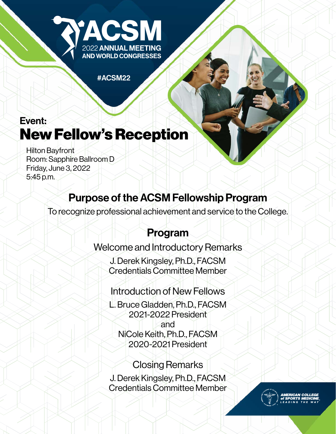

#ACSM22

# Event: New Fellow's Reception

Hilton Bayfront Room: Sapphire Ballroom D Friday, June 3, 2022 5:45 p.m.

# Purpose of the ACSM Fellowship Program

To recognize professional achievement and service to the College.

## Program

### Welcome and Introductory Remarks

J. Derek Kingsley, Ph.D., FACSM Credentials Committee Member

## Introduction of New Fellows

L. Bruce Gladden, Ph.D., FACSM 2021-2022 President and NiCole Keith, Ph.D., FACSM 2020-2021 President

#### Closing Remarks J. Derek Kingsley, Ph.D., FACSM Credentials Committee Member